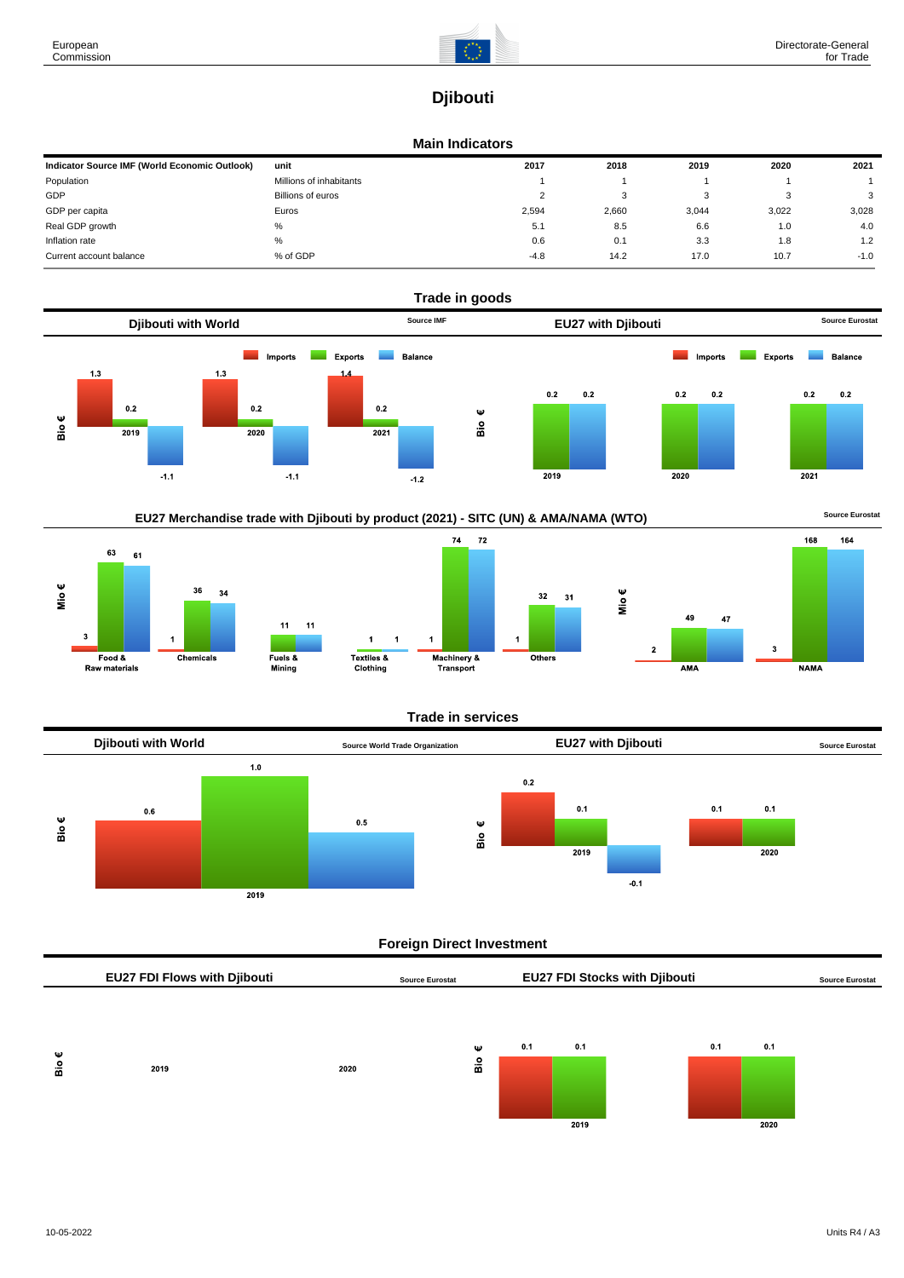

# **Djibouti**

## **Main Indicators**

| Indicator Source IMF (World Economic Outlook) | unit                    | 2017   | 2018  | 2019  | 2020  | 2021   |
|-----------------------------------------------|-------------------------|--------|-------|-------|-------|--------|
| Population                                    | Millions of inhabitants |        |       |       |       |        |
| GDP                                           | Billions of euros       | ∼      | 3     |       |       | 3      |
| GDP per capita                                | Euros                   | 2,594  | 2,660 | 3,044 | 3.022 | 3,028  |
| Real GDP growth                               | %                       | 5.1    | 8.5   | 6.6   | 1.0   | 4.0    |
| Inflation rate                                | %                       | 0.6    | 0.1   | 3.3   | 1.8   | 1.2    |
| Current account balance                       | % of GDP                | $-4.8$ | 14.2  | 17.0  | 10.7  | $-1.0$ |









# **Trade in services**

 $32$ 



# **Foreign Direct Investment**

|     | <b>EU27 FDI Flows with Djibouti</b> |      | <b>Source Eurostat</b> |   |     |      | <b>EU27 FDI Stocks with Djibouti</b> |     |      | <b>Source Eurostat</b> |
|-----|-------------------------------------|------|------------------------|---|-----|------|--------------------------------------|-----|------|------------------------|
| Ψ   |                                     |      |                        | Ψ | 0.1 | 0.1  |                                      | 0.1 | 0.1  |                        |
| Bio | 2019                                | 2020 |                        | å |     | 2019 |                                      |     | 2020 |                        |